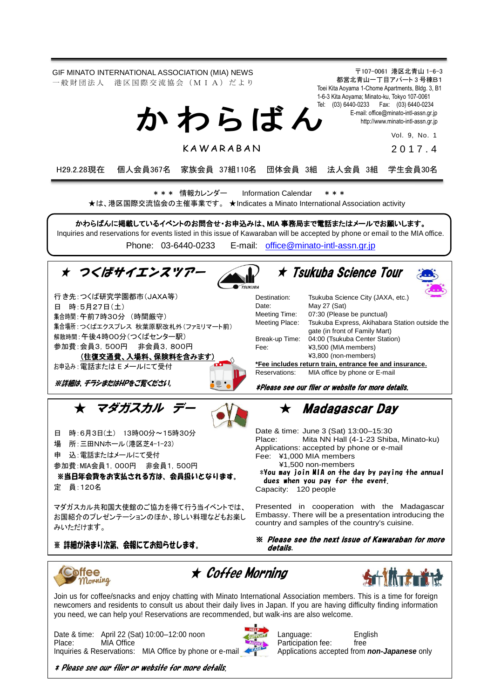

\* Please see our flier or website for more details.